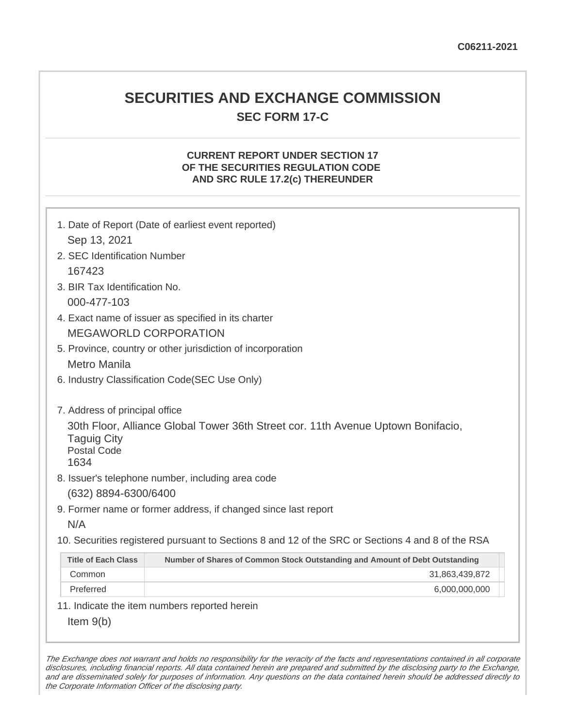# **SECURITIES AND EXCHANGE COMMISSION SEC FORM 17-C**

### **CURRENT REPORT UNDER SECTION 17 OF THE SECURITIES REGULATION CODE AND SRC RULE 17.2(c) THEREUNDER**

|                                                  | 1. Date of Report (Date of earliest event reported)                                               |  |
|--------------------------------------------------|---------------------------------------------------------------------------------------------------|--|
| Sep 13, 2021                                     |                                                                                                   |  |
| 2. SEC Identification Number                     |                                                                                                   |  |
| 167423                                           |                                                                                                   |  |
| 3. BIR Tax Identification No.                    |                                                                                                   |  |
| 000-477-103                                      |                                                                                                   |  |
|                                                  | 4. Exact name of issuer as specified in its charter                                               |  |
|                                                  | <b>MEGAWORLD CORPORATION</b>                                                                      |  |
|                                                  | 5. Province, country or other jurisdiction of incorporation                                       |  |
| <b>Metro Manila</b>                              |                                                                                                   |  |
| 6. Industry Classification Code(SEC Use Only)    |                                                                                                   |  |
|                                                  |                                                                                                   |  |
| 7. Address of principal office                   |                                                                                                   |  |
| <b>Taguig City</b><br><b>Postal Code</b><br>1634 | 30th Floor, Alliance Global Tower 36th Street cor. 11th Avenue Uptown Bonifacio,                  |  |
|                                                  | 8. Issuer's telephone number, including area code                                                 |  |
| (632) 8894-6300/6400                             |                                                                                                   |  |
|                                                  | 9. Former name or former address, if changed since last report                                    |  |
| N/A                                              |                                                                                                   |  |
|                                                  | 10. Securities registered pursuant to Sections 8 and 12 of the SRC or Sections 4 and 8 of the RSA |  |
| <b>Title of Each Class</b>                       | Number of Shares of Common Stock Outstanding and Amount of Debt Outstanding                       |  |
| Common                                           | 31,863,439,872                                                                                    |  |
| Preferred                                        | 6,000,000,000                                                                                     |  |
|                                                  | 11. Indicate the item numbers reported herein                                                     |  |
| Item $9(b)$                                      |                                                                                                   |  |

The Exchange does not warrant and holds no responsibility for the veracity of the facts and representations contained in all corporate disclosures, including financial reports. All data contained herein are prepared and submitted by the disclosing party to the Exchange, and are disseminated solely for purposes of information. Any questions on the data contained herein should be addressed directly to the Corporate Information Officer of the disclosing party.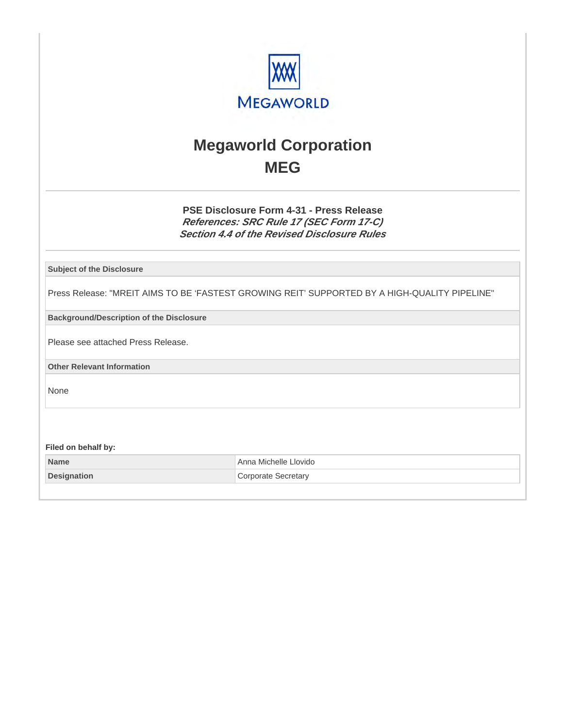

# **Megaworld Corporation MEG**

**PSE Disclosure Form 4-31 - Press Release References: SRC Rule 17 (SEC Form 17-C) Section 4.4 of the Revised Disclosure Rules**

**Subject of the Disclosure**

Press Release: "MREIT AIMS TO BE 'FASTEST GROWING REIT' SUPPORTED BY A HIGH-QUALITY PIPELINE"

**Background/Description of the Disclosure**

Please see attached Press Release.

**Other Relevant Information**

None

**Filed on behalf by:**

| <b>Name</b>        | Anna Michelle Llovido |
|--------------------|-----------------------|
| <b>Designation</b> | Corporate Secretary   |
|                    |                       |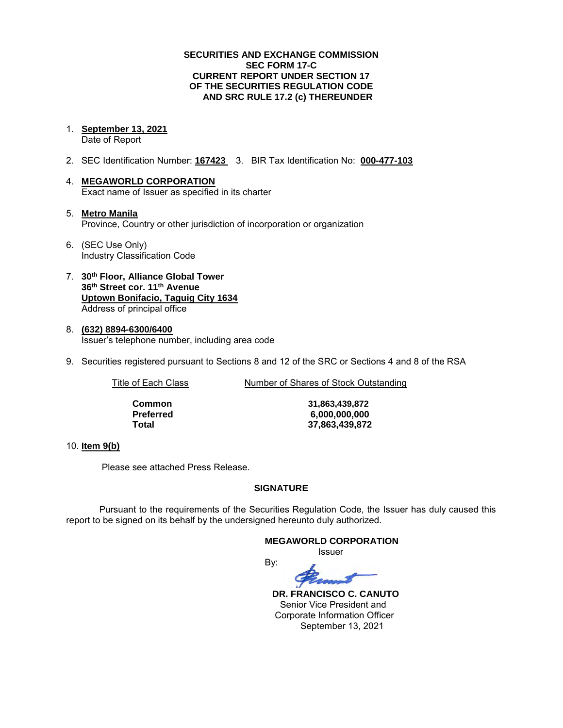#### **SECURITIES AND EXCHANGE COMMISSION SEC FORM 17-C CURRENT REPORT UNDER SECTION 17 OF THE SECURITIES REGULATION CODE AND SRC RULE 17.2 (c) THEREUNDER**

- 1. **September 13, 2021**  Date of Report
- 2. SEC Identification Number: **167423** 3. BIR Tax Identification No: **000-477-103**
- 4. **MEGAWORLD CORPORATION**  Exact name of Issuer as specified in its charter
- 5. **Metro Manila** Province, Country or other jurisdiction of incorporation or organization
- 6. (SEC Use Only) Industry Classification Code
- 7. **30th Floor, Alliance Global Tower 36th Street cor. 11th Avenue Uptown Bonifacio, Taguig City 1634** Address of principal office
- 8. **(632) 8894-6300/6400**  Issuer's telephone number, including area code
- 9. Securities registered pursuant to Sections 8 and 12 of the SRC or Sections 4 and 8 of the RSA

Title of Each Class Number of Shares of Stock Outstanding

**Common 31,863,439,872 Preferred 6,000,000,000 Total 37,863,439,872**

#### 10. **Item 9(b)**

Please see attached Press Release.

#### **SIGNATURE**

Pursuant to the requirements of the Securities Regulation Code, the Issuer has duly caused this report to be signed on its behalf by the undersigned hereunto duly authorized.

#### **MEGAWORLD CORPORATION**

*<u>Issuer</u> Issuer Issuer* 



 **DR. FRANCISCO C. CANUTO**  Senior Vice President and Corporate Information Officer September 13, 2021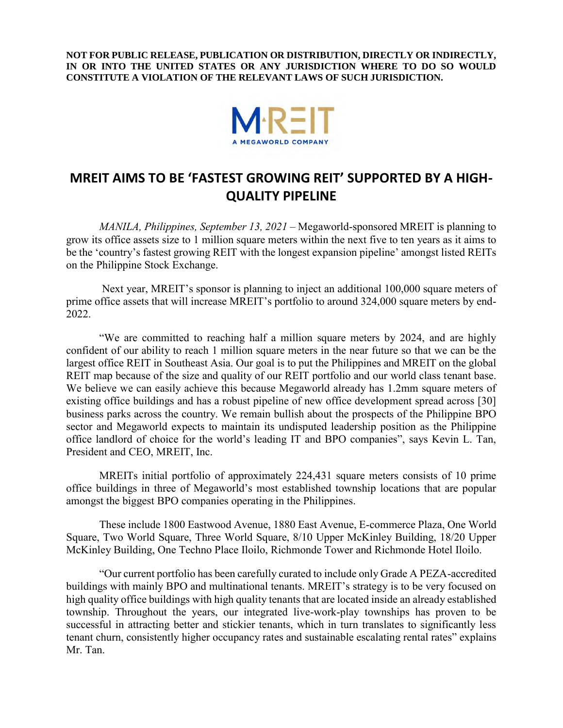**NOT FOR PUBLIC RELEASE, PUBLICATION OR DISTRIBUTION, DIRECTLY OR INDIRECTLY, IN OR INTO THE UNITED STATES OR ANY JURISDICTION WHERE TO DO SO WOULD CONSTITUTE A VIOLATION OF THE RELEVANT LAWS OF SUCH JURISDICTION.** 



## **MREIT AIMS TO BE 'FASTEST GROWING REIT' SUPPORTED BY A HIGH-QUALITY PIPELINE**

*MANILA, Philippines, September 13, 2021 –* Megaworld-sponsored MREIT is planning to grow its office assets size to 1 million square meters within the next five to ten years as it aims to be the 'country's fastest growing REIT with the longest expansion pipeline' amongst listed REITs on the Philippine Stock Exchange.

Next year, MREIT's sponsor is planning to inject an additional 100,000 square meters of prime office assets that will increase MREIT's portfolio to around 324,000 square meters by end-2022.

"We are committed to reaching half a million square meters by 2024, and are highly confident of our ability to reach 1 million square meters in the near future so that we can be the largest office REIT in Southeast Asia. Our goal is to put the Philippines and MREIT on the global REIT map because of the size and quality of our REIT portfolio and our world class tenant base. We believe we can easily achieve this because Megaworld already has 1.2mm square meters of existing office buildings and has a robust pipeline of new office development spread across [30] business parks across the country. We remain bullish about the prospects of the Philippine BPO sector and Megaworld expects to maintain its undisputed leadership position as the Philippine office landlord of choice for the world's leading IT and BPO companies", says Kevin L. Tan, President and CEO, MREIT, Inc.

MREITs initial portfolio of approximately 224,431 square meters consists of 10 prime office buildings in three of Megaworld's most established township locations that are popular amongst the biggest BPO companies operating in the Philippines.

These include 1800 Eastwood Avenue, 1880 East Avenue, E-commerce Plaza, One World Square, Two World Square, Three World Square, 8/10 Upper McKinley Building, 18/20 Upper McKinley Building, One Techno Place Iloilo, Richmonde Tower and Richmonde Hotel Iloilo.

"Our current portfolio has been carefully curated to include only Grade A PEZA-accredited buildings with mainly BPO and multinational tenants. MREIT's strategy is to be very focused on high quality office buildings with high quality tenants that are located inside an already established township. Throughout the years, our integrated live-work-play townships has proven to be successful in attracting better and stickier tenants, which in turn translates to significantly less tenant churn, consistently higher occupancy rates and sustainable escalating rental rates" explains Mr. Tan.